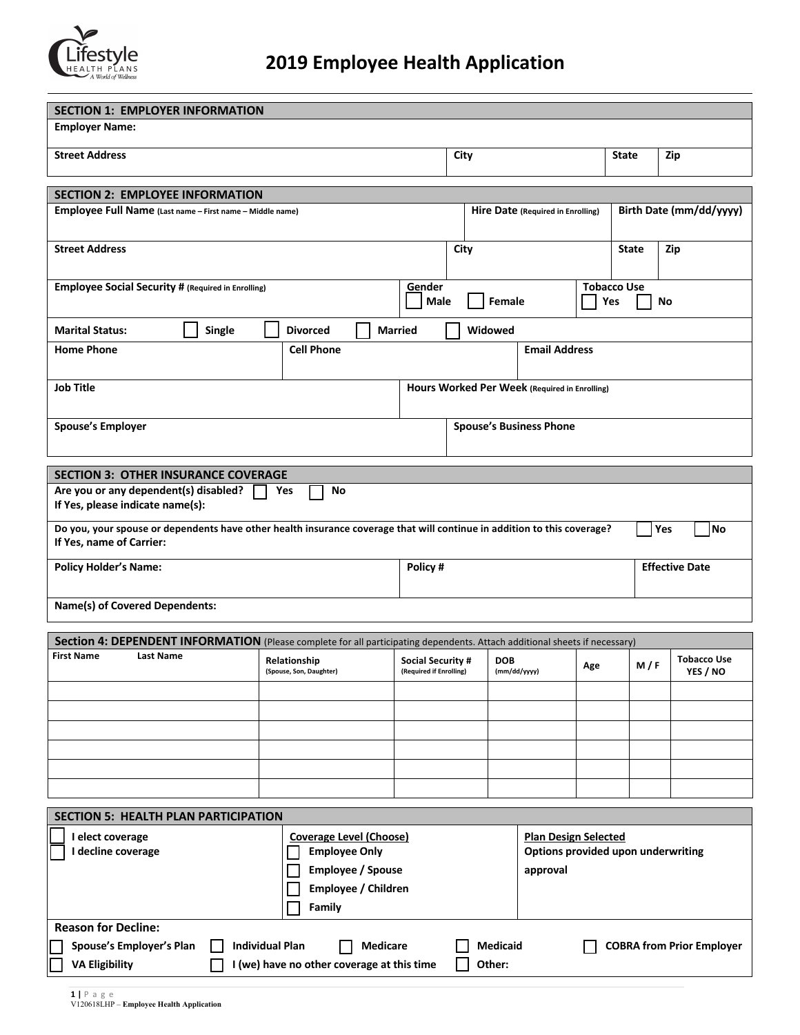

| <b>SECTION 1: EMPLOYER INFORMATION</b><br><b>Employer Name:</b>                                                                                                                                               |                   |  |                                         |         |                       |                                                     |  |          |                                                                   |                         |                    |              |     |                                |
|---------------------------------------------------------------------------------------------------------------------------------------------------------------------------------------------------------------|-------------------|--|-----------------------------------------|---------|-----------------------|-----------------------------------------------------|--|----------|-------------------------------------------------------------------|-------------------------|--------------------|--------------|-----|--------------------------------|
|                                                                                                                                                                                                               |                   |  |                                         |         |                       |                                                     |  |          |                                                                   |                         |                    |              |     |                                |
| <b>Street Address</b>                                                                                                                                                                                         |                   |  |                                         |         |                       |                                                     |  | City     |                                                                   |                         |                    | <b>State</b> |     | Zip                            |
|                                                                                                                                                                                                               |                   |  |                                         |         |                       |                                                     |  |          |                                                                   |                         |                    |              |     |                                |
| <b>SECTION 2: EMPLOYEE INFORMATION</b>                                                                                                                                                                        |                   |  |                                         |         |                       |                                                     |  |          |                                                                   |                         |                    |              |     |                                |
| Employee Full Name (Last name - First name - Middle name)                                                                                                                                                     |                   |  |                                         |         |                       | Hire Date (Required in Enrolling)                   |  |          |                                                                   | Birth Date (mm/dd/yyyy) |                    |              |     |                                |
| <b>Street Address</b>                                                                                                                                                                                         |                   |  |                                         |         |                       | City                                                |  |          |                                                                   |                         | <b>State</b>       |              | Zip |                                |
| <b>Employee Social Security # (Required in Enrolling)</b>                                                                                                                                                     |                   |  |                                         |         | Gender<br>Male        |                                                     |  | Female   |                                                                   | Yes                     | <b>Tobacco Use</b> | No           |     |                                |
| <b>Marital Status:</b>                                                                                                                                                                                        | Single            |  | <b>Divorced</b>                         |         |                       | <b>Married</b>                                      |  | Widowed  |                                                                   |                         |                    |              |     |                                |
| <b>Home Phone</b>                                                                                                                                                                                             | <b>Cell Phone</b> |  |                                         |         | <b>Email Address</b>  |                                                     |  |          |                                                                   |                         |                    |              |     |                                |
| <b>Job Title</b>                                                                                                                                                                                              |                   |  |                                         |         |                       | Hours Worked Per Week (Required in Enrolling)       |  |          |                                                                   |                         |                    |              |     |                                |
| <b>Spouse's Employer</b>                                                                                                                                                                                      |                   |  |                                         |         |                       | <b>Spouse's Business Phone</b>                      |  |          |                                                                   |                         |                    |              |     |                                |
|                                                                                                                                                                                                               |                   |  |                                         |         |                       |                                                     |  |          |                                                                   |                         |                    |              |     |                                |
| <b>SECTION 3: OTHER INSURANCE COVERAGE</b><br>Are you or any dependent(s) disabled?                                                                                                                           |                   |  | Yes<br>No                               |         |                       |                                                     |  |          |                                                                   |                         |                    |              |     |                                |
| If Yes, please indicate name(s):                                                                                                                                                                              |                   |  |                                         |         |                       |                                                     |  |          |                                                                   |                         |                    |              |     |                                |
| Do you, your spouse or dependents have other health insurance coverage that will continue in addition to this coverage?<br>If Yes, name of Carrier:                                                           |                   |  |                                         |         |                       |                                                     |  |          |                                                                   |                         |                    |              | Yes | No                             |
| <b>Policy Holder's Name:</b>                                                                                                                                                                                  |                   |  |                                         | Policy# | <b>Effective Date</b> |                                                     |  |          |                                                                   |                         |                    |              |     |                                |
| Name(s) of Covered Dependents:                                                                                                                                                                                |                   |  |                                         |         |                       |                                                     |  |          |                                                                   |                         |                    |              |     |                                |
| Section 4: DEPENDENT INFORMATION (Please complete for all participating dependents. Attach additional sheets if necessary)                                                                                    |                   |  |                                         |         |                       |                                                     |  |          |                                                                   |                         |                    |              |     |                                |
| <b>First Name</b><br><b>Last Name</b>                                                                                                                                                                         |                   |  | Relationship<br>(Spouse, Son, Daughter) |         |                       | <b>Social Security #</b><br>(Required if Enrolling) |  |          | <b>DOB</b><br>(mm/dd/yyyy)                                        |                         | Age                | M/F          |     | <b>Tobacco Use</b><br>YES / NO |
|                                                                                                                                                                                                               |                   |  |                                         |         |                       |                                                     |  |          |                                                                   |                         |                    |              |     |                                |
|                                                                                                                                                                                                               |                   |  |                                         |         |                       |                                                     |  |          |                                                                   |                         |                    |              |     |                                |
|                                                                                                                                                                                                               |                   |  |                                         |         |                       |                                                     |  |          |                                                                   |                         |                    |              |     |                                |
|                                                                                                                                                                                                               |                   |  |                                         |         |                       |                                                     |  |          |                                                                   |                         |                    |              |     |                                |
|                                                                                                                                                                                                               |                   |  |                                         |         |                       |                                                     |  |          |                                                                   |                         |                    |              |     |                                |
| <b>SECTION 5: HEALTH PLAN PARTICIPATION</b>                                                                                                                                                                   |                   |  |                                         |         |                       |                                                     |  |          |                                                                   |                         |                    |              |     |                                |
| I elect coverage<br>Coverage Level (Choose)<br>I decline coverage<br><b>Employee Only</b><br><b>Employee / Spouse</b><br>Employee / Children<br>Family                                                        |                   |  |                                         |         |                       |                                                     |  | approval | <b>Plan Design Selected</b><br>Options provided upon underwriting |                         |                    |              |     |                                |
| <b>Reason for Decline:</b>                                                                                                                                                                                    |                   |  |                                         |         |                       |                                                     |  |          |                                                                   |                         |                    |              |     |                                |
| <b>Medicaid</b><br><b>COBRA from Prior Employer</b><br>Spouse's Employer's Plan<br><b>Individual Plan</b><br><b>Medicare</b><br><b>VA Eligibility</b><br>I (we) have no other coverage at this time<br>Other: |                   |  |                                         |         |                       |                                                     |  |          |                                                                   |                         |                    |              |     |                                |
|                                                                                                                                                                                                               |                   |  |                                         |         |                       |                                                     |  |          |                                                                   |                         |                    |              |     |                                |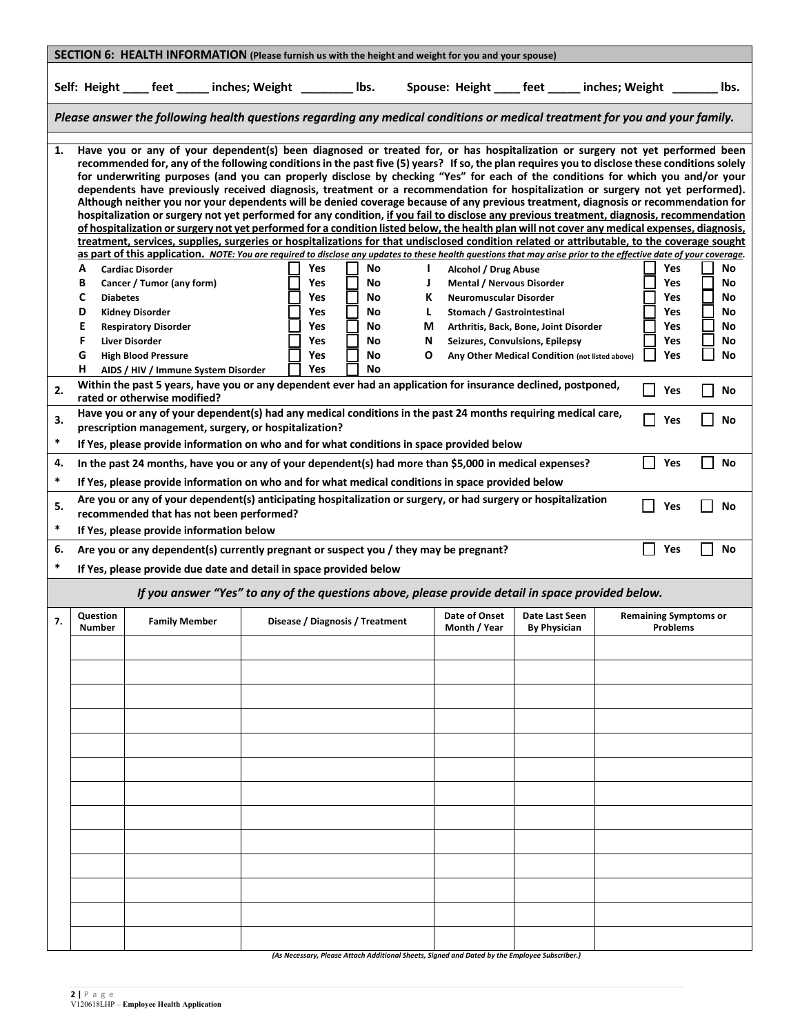| SECTION 6: HEALTH INFORMATION (Please furnish us with the height and weight for you and your spouse) |                                                                                                                                                                                                                                                                                                                          |                                                                                                                                                                                                                                                                                                                                                                                                                                                                                                                                                                                                                                                                                                                                                                                                                                                                                                                                                                                                                                                                                                                                                                                                                                                                                                                                                                                                                                                                                                                              |  |                                                                    |                                              |                                  |                                                                                                                         |                                                                                                                            |  |                                                      |                                        |  |
|------------------------------------------------------------------------------------------------------|--------------------------------------------------------------------------------------------------------------------------------------------------------------------------------------------------------------------------------------------------------------------------------------------------------------------------|------------------------------------------------------------------------------------------------------------------------------------------------------------------------------------------------------------------------------------------------------------------------------------------------------------------------------------------------------------------------------------------------------------------------------------------------------------------------------------------------------------------------------------------------------------------------------------------------------------------------------------------------------------------------------------------------------------------------------------------------------------------------------------------------------------------------------------------------------------------------------------------------------------------------------------------------------------------------------------------------------------------------------------------------------------------------------------------------------------------------------------------------------------------------------------------------------------------------------------------------------------------------------------------------------------------------------------------------------------------------------------------------------------------------------------------------------------------------------------------------------------------------------|--|--------------------------------------------------------------------|----------------------------------------------|----------------------------------|-------------------------------------------------------------------------------------------------------------------------|----------------------------------------------------------------------------------------------------------------------------|--|------------------------------------------------------|----------------------------------------|--|
|                                                                                                      |                                                                                                                                                                                                                                                                                                                          | Self: Height ____ feet _____ inches; Weight ________ lbs.                                                                                                                                                                                                                                                                                                                                                                                                                                                                                                                                                                                                                                                                                                                                                                                                                                                                                                                                                                                                                                                                                                                                                                                                                                                                                                                                                                                                                                                                    |  |                                                                    |                                              |                                  |                                                                                                                         | Spouse: Height _____ feet ______ inches; Weight _______                                                                    |  |                                                      | lbs.                                   |  |
|                                                                                                      | Please answer the following health questions regarding any medical conditions or medical treatment for you and your family.                                                                                                                                                                                              |                                                                                                                                                                                                                                                                                                                                                                                                                                                                                                                                                                                                                                                                                                                                                                                                                                                                                                                                                                                                                                                                                                                                                                                                                                                                                                                                                                                                                                                                                                                              |  |                                                                    |                                              |                                  |                                                                                                                         |                                                                                                                            |  |                                                      |                                        |  |
| 1.                                                                                                   | А<br>В<br>C<br><b>Diabetes</b><br>D<br>E<br>F<br>G<br>н                                                                                                                                                                                                                                                                  | Have you or any of your dependent(s) been diagnosed or treated for, or has hospitalization or surgery not yet performed been<br>recommended for, any of the following conditions in the past five (5) years? If so, the plan requires you to disclose these conditions solely<br>for underwriting purposes (and you can properly disclose by checking "Yes" for each of the conditions for which you and/or your<br>dependents have previously received diagnosis, treatment or a recommendation for hospitalization or surgery not yet performed).<br>Although neither you nor your dependents will be denied coverage because of any previous treatment, diagnosis or recommendation for<br>hospitalization or surgery not yet performed for any condition, if you fail to disclose any previous treatment, diagnosis, recommendation<br>of hospitalization or surgery not yet performed for a condition listed below, the health plan will not cover any medical expenses, diagnosis,<br>treatment, services, supplies, surgeries or hospitalizations for that undisclosed condition related or attributable, to the coverage sought<br>as part of this application. NOTE: You are required to disclose any updates to these health questions that may arise prior to the effective date of your coverage.<br><b>Cardiac Disorder</b><br>Cancer / Tumor (any form)<br><b>Kidney Disorder</b><br><b>Respiratory Disorder</b><br><b>Liver Disorder</b><br><b>High Blood Pressure</b><br>AIDS / HIV / Immune System Disorder |  | <b>Yes</b><br>Yes<br><b>Yes</b><br>Yes<br>Yes<br>Yes<br>Yes<br>Yes | No<br>No<br>No<br>No<br>No<br>No<br>No<br>No | I.<br>J<br>К<br>L<br>М<br>N<br>O | Alcohol / Drug Abuse<br><b>Mental / Nervous Disorder</b><br><b>Neuromuscular Disorder</b><br>Stomach / Gastrointestinal | Arthritis, Back, Bone, Joint Disorder<br>Seizures, Convulsions, Epilepsy<br>Any Other Medical Condition (not listed above) |  | Yes<br>Yes<br><b>Yes</b><br>Yes<br>Yes<br>Yes<br>Yes | No<br>No<br>No<br>No<br>No<br>No<br>No |  |
| 2.                                                                                                   |                                                                                                                                                                                                                                                                                                                          | Within the past 5 years, have you or any dependent ever had an application for insurance declined, postponed,<br>rated or otherwise modified?                                                                                                                                                                                                                                                                                                                                                                                                                                                                                                                                                                                                                                                                                                                                                                                                                                                                                                                                                                                                                                                                                                                                                                                                                                                                                                                                                                                |  |                                                                    |                                              |                                  |                                                                                                                         |                                                                                                                            |  | Yes                                                  | No                                     |  |
| 3.<br>$\ast$                                                                                         | Have you or any of your dependent(s) had any medical conditions in the past 24 months requiring medical care,<br>Yes<br>No<br>prescription management, surgery, or hospitalization?<br>If Yes, please provide information on who and for what conditions in space provided below                                         |                                                                                                                                                                                                                                                                                                                                                                                                                                                                                                                                                                                                                                                                                                                                                                                                                                                                                                                                                                                                                                                                                                                                                                                                                                                                                                                                                                                                                                                                                                                              |  |                                                                    |                                              |                                  |                                                                                                                         |                                                                                                                            |  |                                                      |                                        |  |
| 4.<br>$\ast$                                                                                         | In the past 24 months, have you or any of your dependent(s) had more than \$5,000 in medical expenses?<br>Yes<br>No                                                                                                                                                                                                      |                                                                                                                                                                                                                                                                                                                                                                                                                                                                                                                                                                                                                                                                                                                                                                                                                                                                                                                                                                                                                                                                                                                                                                                                                                                                                                                                                                                                                                                                                                                              |  |                                                                    |                                              |                                  |                                                                                                                         |                                                                                                                            |  |                                                      |                                        |  |
| 5.<br>$\ast$                                                                                         | If Yes, please provide information on who and for what medical conditions in space provided below<br>Are you or any of your dependent(s) anticipating hospitalization or surgery, or had surgery or hospitalization<br>Yes<br>No<br>recommended that has not been performed?<br>If Yes, please provide information below |                                                                                                                                                                                                                                                                                                                                                                                                                                                                                                                                                                                                                                                                                                                                                                                                                                                                                                                                                                                                                                                                                                                                                                                                                                                                                                                                                                                                                                                                                                                              |  |                                                                    |                                              |                                  |                                                                                                                         |                                                                                                                            |  |                                                      |                                        |  |
| 6.<br>$\ast$                                                                                         | Yes<br>No<br>Are you or any dependent(s) currently pregnant or suspect you / they may be pregnant?<br>If Yes, please provide due date and detail in space provided below                                                                                                                                                 |                                                                                                                                                                                                                                                                                                                                                                                                                                                                                                                                                                                                                                                                                                                                                                                                                                                                                                                                                                                                                                                                                                                                                                                                                                                                                                                                                                                                                                                                                                                              |  |                                                                    |                                              |                                  |                                                                                                                         |                                                                                                                            |  |                                                      |                                        |  |
|                                                                                                      | If you answer "Yes" to any of the questions above, please provide detail in space provided below.                                                                                                                                                                                                                        |                                                                                                                                                                                                                                                                                                                                                                                                                                                                                                                                                                                                                                                                                                                                                                                                                                                                                                                                                                                                                                                                                                                                                                                                                                                                                                                                                                                                                                                                                                                              |  |                                                                    |                                              |                                  |                                                                                                                         |                                                                                                                            |  |                                                      |                                        |  |
| 7.                                                                                                   | Question<br><b>Number</b>                                                                                                                                                                                                                                                                                                | <b>Family Member</b>                                                                                                                                                                                                                                                                                                                                                                                                                                                                                                                                                                                                                                                                                                                                                                                                                                                                                                                                                                                                                                                                                                                                                                                                                                                                                                                                                                                                                                                                                                         |  |                                                                    | Disease / Diagnosis / Treatment              |                                  | Date of Onset<br>Month / Year                                                                                           | Date Last Seen<br><b>By Physician</b>                                                                                      |  | <b>Remaining Symptoms or</b><br>Problems             |                                        |  |
|                                                                                                      |                                                                                                                                                                                                                                                                                                                          |                                                                                                                                                                                                                                                                                                                                                                                                                                                                                                                                                                                                                                                                                                                                                                                                                                                                                                                                                                                                                                                                                                                                                                                                                                                                                                                                                                                                                                                                                                                              |  |                                                                    |                                              |                                  |                                                                                                                         |                                                                                                                            |  |                                                      |                                        |  |
|                                                                                                      |                                                                                                                                                                                                                                                                                                                          |                                                                                                                                                                                                                                                                                                                                                                                                                                                                                                                                                                                                                                                                                                                                                                                                                                                                                                                                                                                                                                                                                                                                                                                                                                                                                                                                                                                                                                                                                                                              |  |                                                                    |                                              |                                  |                                                                                                                         |                                                                                                                            |  |                                                      |                                        |  |
|                                                                                                      |                                                                                                                                                                                                                                                                                                                          |                                                                                                                                                                                                                                                                                                                                                                                                                                                                                                                                                                                                                                                                                                                                                                                                                                                                                                                                                                                                                                                                                                                                                                                                                                                                                                                                                                                                                                                                                                                              |  |                                                                    |                                              |                                  |                                                                                                                         |                                                                                                                            |  |                                                      |                                        |  |
|                                                                                                      |                                                                                                                                                                                                                                                                                                                          |                                                                                                                                                                                                                                                                                                                                                                                                                                                                                                                                                                                                                                                                                                                                                                                                                                                                                                                                                                                                                                                                                                                                                                                                                                                                                                                                                                                                                                                                                                                              |  |                                                                    |                                              |                                  |                                                                                                                         |                                                                                                                            |  |                                                      |                                        |  |
|                                                                                                      |                                                                                                                                                                                                                                                                                                                          |                                                                                                                                                                                                                                                                                                                                                                                                                                                                                                                                                                                                                                                                                                                                                                                                                                                                                                                                                                                                                                                                                                                                                                                                                                                                                                                                                                                                                                                                                                                              |  |                                                                    |                                              |                                  |                                                                                                                         |                                                                                                                            |  |                                                      |                                        |  |
|                                                                                                      |                                                                                                                                                                                                                                                                                                                          |                                                                                                                                                                                                                                                                                                                                                                                                                                                                                                                                                                                                                                                                                                                                                                                                                                                                                                                                                                                                                                                                                                                                                                                                                                                                                                                                                                                                                                                                                                                              |  |                                                                    |                                              |                                  |                                                                                                                         |                                                                                                                            |  |                                                      |                                        |  |
|                                                                                                      |                                                                                                                                                                                                                                                                                                                          |                                                                                                                                                                                                                                                                                                                                                                                                                                                                                                                                                                                                                                                                                                                                                                                                                                                                                                                                                                                                                                                                                                                                                                                                                                                                                                                                                                                                                                                                                                                              |  |                                                                    |                                              |                                  |                                                                                                                         |                                                                                                                            |  |                                                      |                                        |  |
|                                                                                                      |                                                                                                                                                                                                                                                                                                                          |                                                                                                                                                                                                                                                                                                                                                                                                                                                                                                                                                                                                                                                                                                                                                                                                                                                                                                                                                                                                                                                                                                                                                                                                                                                                                                                                                                                                                                                                                                                              |  |                                                                    |                                              |                                  |                                                                                                                         |                                                                                                                            |  |                                                      |                                        |  |
|                                                                                                      |                                                                                                                                                                                                                                                                                                                          |                                                                                                                                                                                                                                                                                                                                                                                                                                                                                                                                                                                                                                                                                                                                                                                                                                                                                                                                                                                                                                                                                                                                                                                                                                                                                                                                                                                                                                                                                                                              |  |                                                                    |                                              |                                  |                                                                                                                         |                                                                                                                            |  |                                                      |                                        |  |
|                                                                                                      |                                                                                                                                                                                                                                                                                                                          |                                                                                                                                                                                                                                                                                                                                                                                                                                                                                                                                                                                                                                                                                                                                                                                                                                                                                                                                                                                                                                                                                                                                                                                                                                                                                                                                                                                                                                                                                                                              |  |                                                                    |                                              |                                  |                                                                                                                         |                                                                                                                            |  |                                                      |                                        |  |
|                                                                                                      |                                                                                                                                                                                                                                                                                                                          |                                                                                                                                                                                                                                                                                                                                                                                                                                                                                                                                                                                                                                                                                                                                                                                                                                                                                                                                                                                                                                                                                                                                                                                                                                                                                                                                                                                                                                                                                                                              |  |                                                                    |                                              |                                  |                                                                                                                         |                                                                                                                            |  |                                                      |                                        |  |
|                                                                                                      |                                                                                                                                                                                                                                                                                                                          |                                                                                                                                                                                                                                                                                                                                                                                                                                                                                                                                                                                                                                                                                                                                                                                                                                                                                                                                                                                                                                                                                                                                                                                                                                                                                                                                                                                                                                                                                                                              |  |                                                                    |                                              |                                  |                                                                                                                         |                                                                                                                            |  |                                                      |                                        |  |
|                                                                                                      |                                                                                                                                                                                                                                                                                                                          |                                                                                                                                                                                                                                                                                                                                                                                                                                                                                                                                                                                                                                                                                                                                                                                                                                                                                                                                                                                                                                                                                                                                                                                                                                                                                                                                                                                                                                                                                                                              |  |                                                                    |                                              |                                  |                                                                                                                         |                                                                                                                            |  |                                                      |                                        |  |
|                                                                                                      |                                                                                                                                                                                                                                                                                                                          |                                                                                                                                                                                                                                                                                                                                                                                                                                                                                                                                                                                                                                                                                                                                                                                                                                                                                                                                                                                                                                                                                                                                                                                                                                                                                                                                                                                                                                                                                                                              |  |                                                                    |                                              |                                  | (As Necessary, Please Attach Additional Sheets, Signed and Dated by the Employee Subscriber.)                           |                                                                                                                            |  |                                                      |                                        |  |